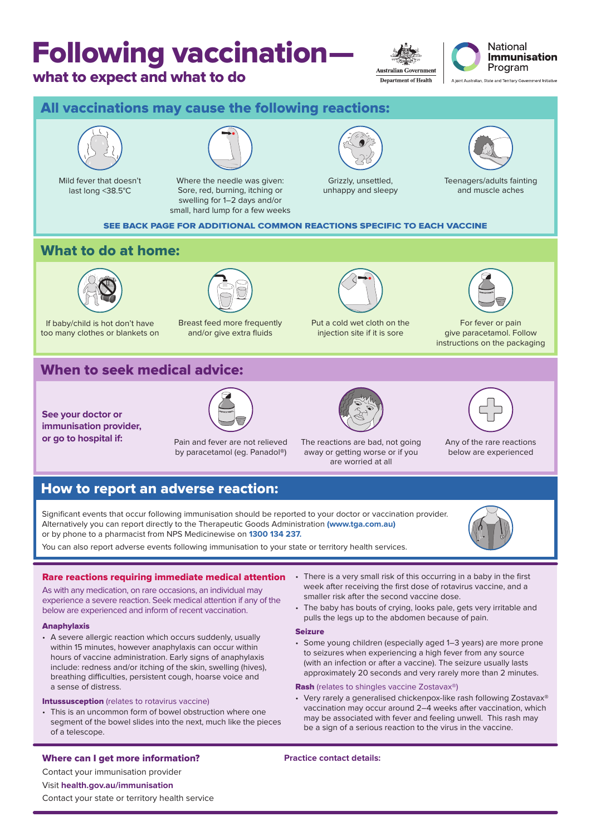## Following vaccination—

## what to expect and what to do

**Australian Government Department of Health** 



A joint Australian, State and Territory Government Initiative



This is an uncommon form of bowel obstruction where one segment of the bowel slides into the next, much like the pieces of a telescope.

## Where can I get more information? **Practice contact details:**

Contact your immunisation provider

## Visit **health.gov.au/immunisation**

Contact your state or territory health service

vaccination may occur around 2–4 weeks after vaccination, which may be associated with fever and feeling unwell. This rash may be a sign of a serious reaction to the virus in the vaccine.